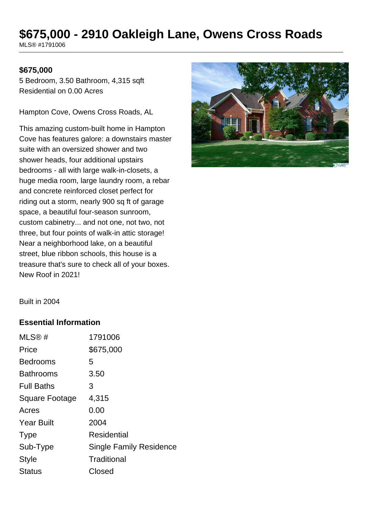# **\$675,000 - 2910 Oakleigh Lane, Owens Cross Roads**

MLS® #1791006

#### **\$675,000**

5 Bedroom, 3.50 Bathroom, 4,315 sqft Residential on 0.00 Acres

Hampton Cove, Owens Cross Roads, AL

This amazing custom-built home in Hampton Cove has features galore: a downstairs master suite with an oversized shower and two shower heads, four additional upstairs bedrooms - all with large walk-in-closets, a huge media room, large laundry room, a rebar and concrete reinforced closet perfect for riding out a storm, nearly 900 sq ft of garage space, a beautiful four-season sunroom, custom cabinetry... and not one, not two, not three, but four points of walk-in attic storage! Near a neighborhood lake, on a beautiful street, blue ribbon schools, this house is a treasure that's sure to check all of your boxes. New Roof in 2021!



Built in 2004

#### **Essential Information**

| MLS@#                 | 1791006                        |
|-----------------------|--------------------------------|
| Price                 | \$675,000                      |
| <b>Bedrooms</b>       | 5                              |
| <b>Bathrooms</b>      | 3.50                           |
| <b>Full Baths</b>     | 3                              |
| <b>Square Footage</b> | 4,315                          |
| Acres                 | 0.00                           |
| <b>Year Built</b>     | 2004                           |
| <b>Type</b>           | Residential                    |
| Sub-Type              | <b>Single Family Residence</b> |
| <b>Style</b>          | Traditional                    |
| <b>Status</b>         | Closed                         |
|                       |                                |